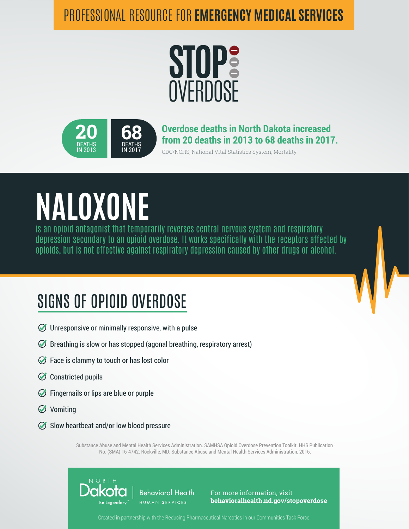#### PROFESSIONAL RESOURCE FOR **EMERGENCY MEDICAL SERVICES**





**Overdose deaths in North Dakota increased from 20 deaths in 2013 to 68 deaths in 2017.**

CDC/NCHS, National Vital Statistics System, Mortality

# **NALOXONE**

is an opioid antagonist that temporarily reverses central nervous system and respiratory depression secondary to an opioid overdose. It works specifically with the receptors affected by opioids, but is not effective against respiratory depression caused by other drugs or alcohol.

### SIGNS OF OPIOID OVERDOSE

- $\oslash$  Unresponsive or minimally responsive, with a pulse
- $\oslash$  Breathing is slow or has stopped (agonal breathing, respiratory arrest)
- $\oslash$  Face is clammy to touch or has lost color
- Constricted pupils
- $\oslash$  Fingernails or lips are blue or purple
- **⊘** Vomiting
- $\oslash$  Slow heartbeat and/or low blood pressure

Substance Abuse and Mental Health Services Administration. SAMHSA Opioid Overdose Prevention Toolkit. HHS Publication No. (SMA) 16-4742. Rockville, MD: Substance Abuse and Mental Health Services Administration, 2016.



For more information, visit **behavioralhealth.nd.gov/stopoverdose**